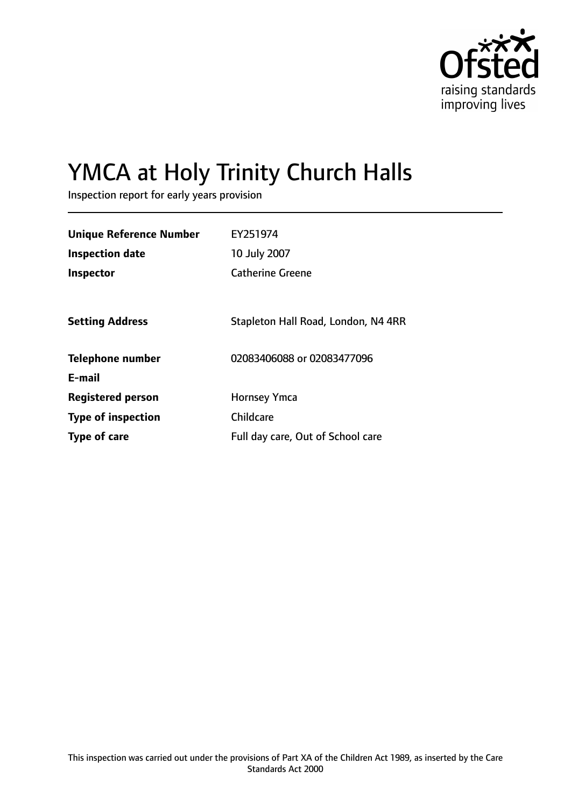

# YMCA at Holy Trinity Church Halls

Inspection report for early years provision

| <b>Unique Reference Number</b> | EY251974                            |
|--------------------------------|-------------------------------------|
| <b>Inspection date</b>         | 10 July 2007                        |
| <b>Inspector</b>               | <b>Catherine Greene</b>             |
|                                |                                     |
| <b>Setting Address</b>         | Stapleton Hall Road, London, N4 4RR |
| <b>Telephone number</b>        | 02083406088 or 02083477096          |
| E-mail                         |                                     |
| <b>Registered person</b>       | <b>Hornsey Ymca</b>                 |
| <b>Type of inspection</b>      | Childcare                           |
| Type of care                   | Full day care, Out of School care   |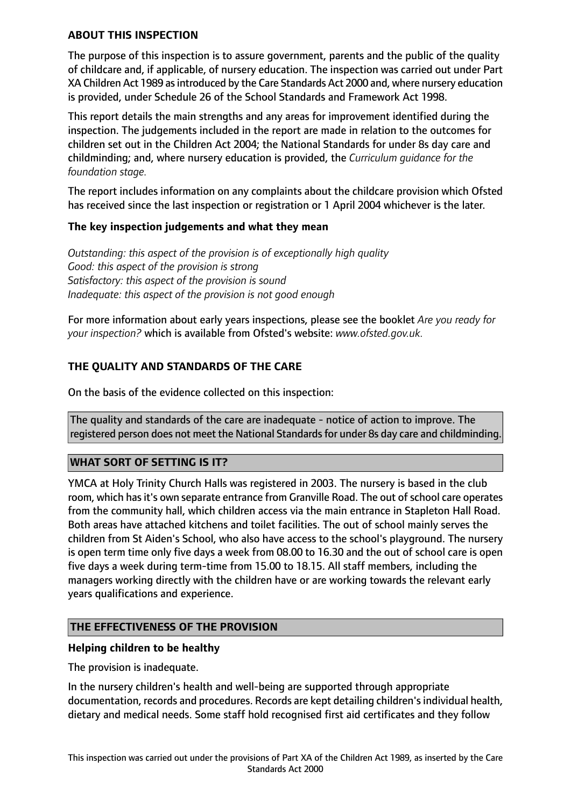### **ABOUT THIS INSPECTION**

The purpose of this inspection is to assure government, parents and the public of the quality of childcare and, if applicable, of nursery education. The inspection was carried out under Part XA Children Act 1989 as introduced by the Care Standards Act 2000 and, where nursery education is provided, under Schedule 26 of the School Standards and Framework Act 1998.

This report details the main strengths and any areas for improvement identified during the inspection. The judgements included in the report are made in relation to the outcomes for children set out in the Children Act 2004; the National Standards for under 8s day care and childminding; and, where nursery education is provided, the *Curriculum guidance for the foundation stage.*

The report includes information on any complaints about the childcare provision which Ofsted has received since the last inspection or registration or 1 April 2004 whichever is the later.

#### **The key inspection judgements and what they mean**

*Outstanding: this aspect of the provision is of exceptionally high quality Good: this aspect of the provision is strong Satisfactory: this aspect of the provision is sound Inadequate: this aspect of the provision is not good enough*

For more information about early years inspections, please see the booklet *Are you ready for your inspection?* which is available from Ofsted's website: *www.ofsted.gov.uk.*

## **THE QUALITY AND STANDARDS OF THE CARE**

On the basis of the evidence collected on this inspection:

The quality and standards of the care are inadequate - notice of action to improve. The registered person does not meet the National Standards for under 8s day care and childminding.

#### **WHAT SORT OF SETTING IS IT?**

YMCA at Holy Trinity Church Halls was registered in 2003. The nursery is based in the club room, which has it's own separate entrance from Granville Road. The out of school care operates from the community hall, which children access via the main entrance in Stapleton Hall Road. Both areas have attached kitchens and toilet facilities. The out of school mainly serves the children from St Aiden's School, who also have access to the school's playground. The nursery is open term time only five days a week from 08.00 to 16.30 and the out of school care is open five days a week during term-time from 15.00 to 18.15. All staff members, including the managers working directly with the children have or are working towards the relevant early years qualifications and experience.

#### **THE EFFECTIVENESS OF THE PROVISION**

#### **Helping children to be healthy**

The provision is inadequate.

In the nursery children's health and well-being are supported through appropriate documentation, records and procedures. Records are kept detailing children's individual health, dietary and medical needs. Some staff hold recognised first aid certificates and they follow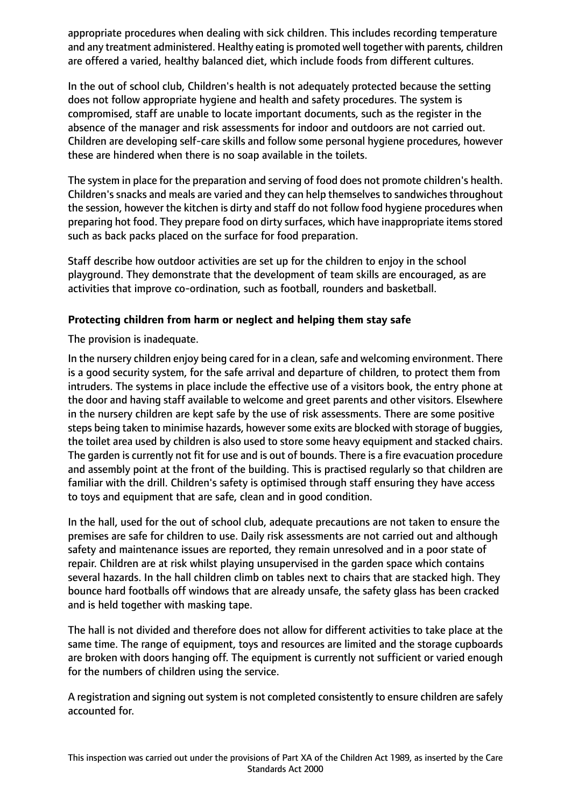appropriate procedures when dealing with sick children. This includes recording temperature and any treatment administered. Healthy eating is promoted well together with parents, children are offered a varied, healthy balanced diet, which include foods from different cultures.

In the out of school club, Children's health is not adequately protected because the setting does not follow appropriate hygiene and health and safety procedures. The system is compromised, staff are unable to locate important documents, such as the register in the absence of the manager and risk assessments for indoor and outdoors are not carried out. Children are developing self-care skills and follow some personal hygiene procedures, however these are hindered when there is no soap available in the toilets.

The system in place for the preparation and serving of food does not promote children's health. Children's snacks and meals are varied and they can help themselves to sandwiches throughout the session, however the kitchen is dirty and staff do not follow food hygiene procedures when preparing hot food. They prepare food on dirty surfaces, which have inappropriate items stored such as back packs placed on the surface for food preparation.

Staff describe how outdoor activities are set up for the children to enjoy in the school playground. They demonstrate that the development of team skills are encouraged, as are activities that improve co-ordination, such as football, rounders and basketball.

# **Protecting children from harm or neglect and helping them stay safe**

The provision is inadequate.

In the nursery children enjoy being cared for in a clean, safe and welcoming environment. There is a good security system, for the safe arrival and departure of children, to protect them from intruders. The systems in place include the effective use of a visitors book, the entry phone at the door and having staff available to welcome and greet parents and other visitors. Elsewhere in the nursery children are kept safe by the use of risk assessments. There are some positive steps being taken to minimise hazards, however some exits are blocked with storage of buggies, the toilet area used by children is also used to store some heavy equipment and stacked chairs. The garden is currently not fit for use and is out of bounds. There is a fire evacuation procedure and assembly point at the front of the building. This is practised regularly so that children are familiar with the drill. Children's safety is optimised through staff ensuring they have access to toys and equipment that are safe, clean and in good condition.

In the hall, used for the out of school club, adequate precautions are not taken to ensure the premises are safe for children to use. Daily risk assessments are not carried out and although safety and maintenance issues are reported, they remain unresolved and in a poor state of repair. Children are at risk whilst playing unsupervised in the garden space which contains several hazards. In the hall children climb on tables next to chairs that are stacked high. They bounce hard footballs off windows that are already unsafe, the safety glass has been cracked and is held together with masking tape.

The hall is not divided and therefore does not allow for different activities to take place at the same time. The range of equipment, toys and resources are limited and the storage cupboards are broken with doors hanging off. The equipment is currently not sufficient or varied enough for the numbers of children using the service.

A registration and signing out system is not completed consistently to ensure children are safely accounted for.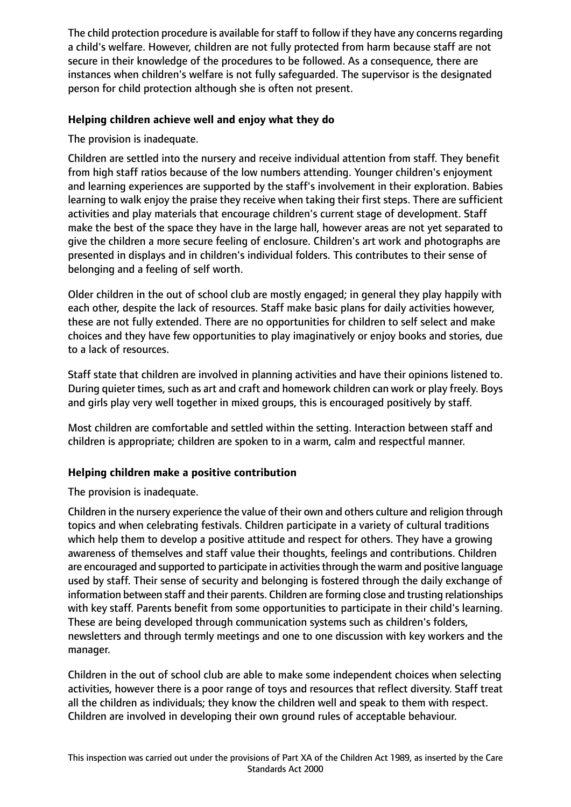The child protection procedure is available for staff to follow if they have any concerns regarding a child's welfare. However, children are not fully protected from harm because staff are not secure in their knowledge of the procedures to be followed. As a consequence, there are instances when children's welfare is not fully safeguarded. The supervisor is the designated person for child protection although she is often not present.

# **Helping children achieve well and enjoy what they do**

The provision is inadequate.

Children are settled into the nursery and receive individual attention from staff. They benefit from high staff ratios because of the low numbers attending. Younger children's enjoyment and learning experiences are supported by the staff's involvement in their exploration. Babies learning to walk enjoy the praise they receive when taking their first steps. There are sufficient activities and play materials that encourage children's current stage of development. Staff make the best of the space they have in the large hall, however areas are not yet separated to give the children a more secure feeling of enclosure. Children's art work and photographs are presented in displays and in children's individual folders. This contributes to their sense of belonging and a feeling of self worth.

Older children in the out of school club are mostly engaged; in general they play happily with each other, despite the lack of resources. Staff make basic plans for daily activities however, these are not fully extended. There are no opportunities for children to self select and make choices and they have few opportunities to play imaginatively or enjoy books and stories, due to a lack of resources.

Staff state that children are involved in planning activities and have their opinions listened to. During quieter times, such as art and craft and homework children can work or play freely. Boys and girls play very well together in mixed groups, this is encouraged positively by staff.

Most children are comfortable and settled within the setting. Interaction between staff and children is appropriate; children are spoken to in a warm, calm and respectful manner.

# **Helping children make a positive contribution**

The provision is inadequate.

Children in the nursery experience the value of their own and others culture and religion through topics and when celebrating festivals. Children participate in a variety of cultural traditions which help them to develop a positive attitude and respect for others. They have a growing awareness of themselves and staff value their thoughts, feelings and contributions. Children are encouraged and supported to participate in activitiesthrough the warm and positive language used by staff. Their sense of security and belonging is fostered through the daily exchange of information between staff and their parents. Children are forming close and trusting relationships with key staff. Parents benefit from some opportunities to participate in their child's learning. These are being developed through communication systems such as children's folders, newsletters and through termly meetings and one to one discussion with key workers and the manager.

Children in the out of school club are able to make some independent choices when selecting activities, however there is a poor range of toys and resources that reflect diversity. Staff treat all the children as individuals; they know the children well and speak to them with respect. Children are involved in developing their own ground rules of acceptable behaviour.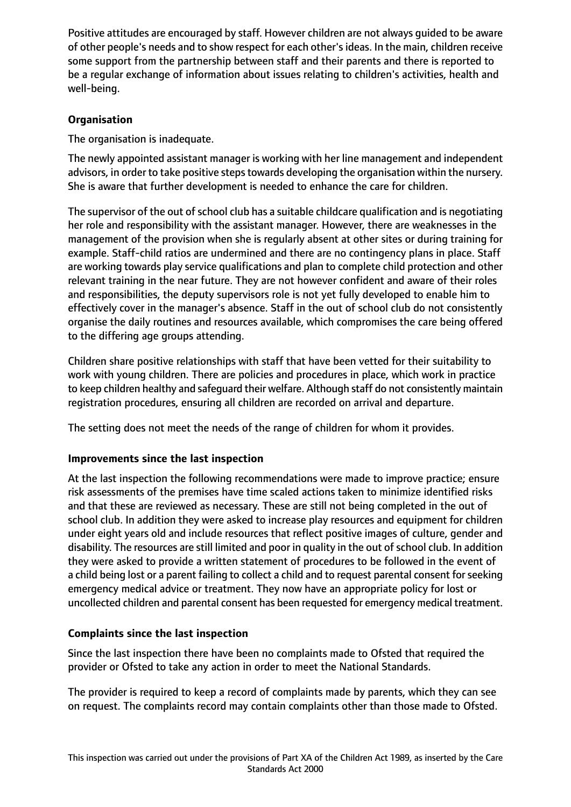Positive attitudes are encouraged by staff. However children are not always guided to be aware of other people's needs and to show respect for each other'sideas. In the main, children receive some support from the partnership between staff and their parents and there is reported to be a regular exchange of information about issues relating to children's activities, health and well-being.

# **Organisation**

The organisation is inadequate.

The newly appointed assistant manager is working with her line management and independent advisors, in order to take positive steps towards developing the organisation within the nursery. She is aware that further development is needed to enhance the care for children.

The supervisor of the out of school club has a suitable childcare qualification and is negotiating her role and responsibility with the assistant manager. However, there are weaknesses in the management of the provision when she is regularly absent at other sites or during training for example. Staff-child ratios are undermined and there are no contingency plans in place. Staff are working towards play service qualifications and plan to complete child protection and other relevant training in the near future. They are not however confident and aware of their roles and responsibilities, the deputy supervisors role is not yet fully developed to enable him to effectively cover in the manager's absence. Staff in the out of school club do not consistently organise the daily routines and resources available, which compromises the care being offered to the differing age groups attending.

Children share positive relationships with staff that have been vetted for their suitability to work with young children. There are policies and procedures in place, which work in practice to keep children healthy and safeguard their welfare. Although staff do not consistently maintain registration procedures, ensuring all children are recorded on arrival and departure.

The setting does not meet the needs of the range of children for whom it provides.

# **Improvements since the last inspection**

At the last inspection the following recommendations were made to improve practice; ensure risk assessments of the premises have time scaled actions taken to minimize identified risks and that these are reviewed as necessary. These are still not being completed in the out of school club. In addition they were asked to increase play resources and equipment for children under eight years old and include resources that reflect positive images of culture, gender and disability. The resources are still limited and poor in quality in the out of school club. In addition they were asked to provide a written statement of procedures to be followed in the event of a child being lost or a parent failing to collect a child and to request parental consent for seeking emergency medical advice or treatment. They now have an appropriate policy for lost or uncollected children and parental consent has been requested for emergency medical treatment.

# **Complaints since the last inspection**

Since the last inspection there have been no complaints made to Ofsted that required the provider or Ofsted to take any action in order to meet the National Standards.

The provider is required to keep a record of complaints made by parents, which they can see on request. The complaints record may contain complaints other than those made to Ofsted.